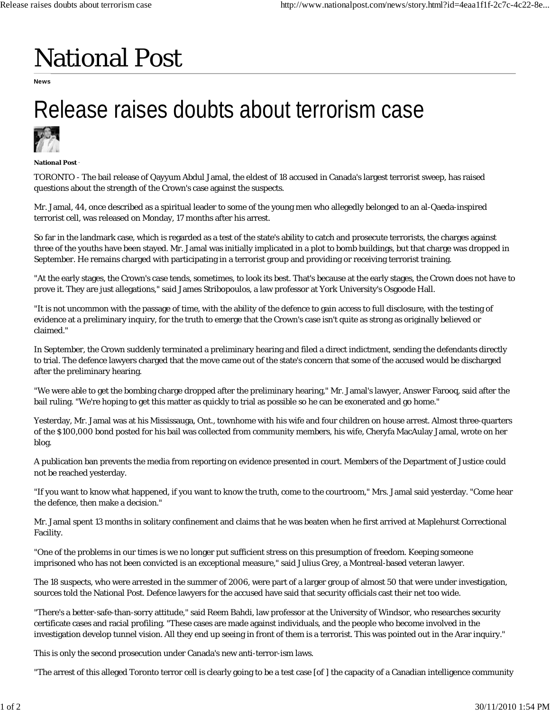## National Post

**News**

## Release raises doubts about terrorism case



**National Post** ·

TORONTO - The bail release of Qayyum Abdul Jamal, the eldest of 18 accused in Canada's largest terrorist sweep, has raised questions about the strength of the Crown's case against the suspects.

Mr. Jamal, 44, once described as a spiritual leader to some of the young men who allegedly belonged to an al-Qaeda-inspired terrorist cell, was released on Monday, 17 months after his arrest.

So far in the landmark case, which is regarded as a test of the state's ability to catch and prosecute terrorists, the charges against three of the youths have been stayed. Mr. Jamal was initially implicated in a plot to bomb buildings, but that charge was dropped in September. He remains charged with participating in a terrorist group and providing or receiving terrorist training.

"At the early stages, the Crown's case tends, sometimes, to look its best. That's because at the early stages, the Crown does not have to prove it. They are just allegations," said James Stribopoulos, a law professor at York University's Osgoode Hall.

"It is not uncommon with the passage of time, with the ability of the defence to gain access to full disclosure, with the testing of evidence at a preliminary inquiry, for the truth to emerge that the Crown's case isn't quite as strong as originally believed or claimed."

In September, the Crown suddenly terminated a preliminary hearing and filed a direct indictment, sending the defendants directly to trial. The defence lawyers charged that the move came out of the state's concern that some of the accused would be discharged after the preliminary hearing.

"We were able to get the bombing charge dropped after the preliminary hearing," Mr. Jamal's lawyer, Answer Farooq, said after the bail ruling. "We're hoping to get this matter as quickly to trial as possible so he can be exonerated and go home."

Yesterday, Mr. Jamal was at his Mississauga, Ont., townhome with his wife and four children on house arrest. Almost three-quarters of the \$100,000 bond posted for his bail was collected from community members, his wife, Cheryfa MacAulay Jamal, wrote on her blog.

A publication ban prevents the media from reporting on evidence presented in court. Members of the Department of Justice could not be reached yesterday.

"If you want to know what happened, if you want to know the truth, come to the courtroom," Mrs. Jamal said yesterday. "Come hear the defence, then make a decision."

Mr. Jamal spent 13 months in solitary confinement and claims that he was beaten when he first arrived at Maplehurst Correctional Facility.

"One of the problems in our times is we no longer put sufficient stress on this presumption of freedom. Keeping someone imprisoned who has not been convicted is an exceptional measure," said Julius Grey, a Montreal-based veteran lawyer.

The 18 suspects, who were arrested in the summer of 2006, were part of a larger group of almost 50 that were under investigation, sources told the National Post. Defence lawyers for the accused have said that security officials cast their net too wide.

"There's a better-safe-than-sorry attitude," said Reem Bahdi, law professor at the University of Windsor, who researches security certificate cases and racial profiling. "These cases are made against individuals, and the people who become involved in the investigation develop tunnel vision. All they end up seeing in front of them is a terrorist. This was pointed out in the Arar inquiry."

This is only the second prosecution under Canada's new anti-terror-ism laws.

"The arrest of this alleged Toronto terror cell is clearly going to be a test case [of ] the capacity of a Canadian intelligence community